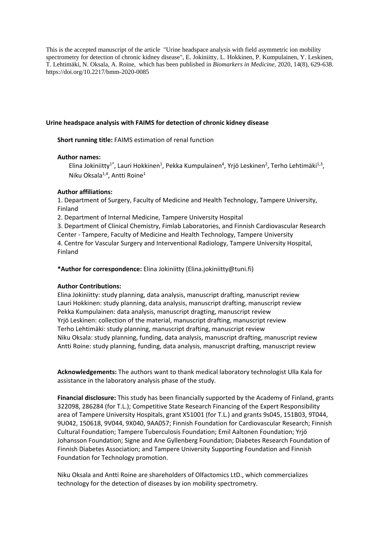This is the accepted manuscript of the article "Urine headspace analysis with field asymmetric ion mobility spectrometry for detection of chronic kidney disease", E. Jokiniitty, L. Hokkinen, P. Kumpulainen, Y. Leskinen, T. Lehtimäki, N. Oksala, A. Roine, which has been published in *Biomarkers in Medicine*, 2020, 14(8), 629-638. https://doi.org/10.2217/bmm-2020-0085

# **Urine headspace analysis with FAIMS for detection of chronic kidney disease**

**Short running title:** FAIMS estimation of renal function

### **Author names:**

Elina Jokiniitty<sup>1\*</sup>, Lauri Hokkinen<sup>1</sup>, Pekka Kumpulainen<sup>4</sup>, Yrjö Leskinen<sup>2</sup>, Terho Lehtimäki<sup>1,3</sup>, Niku Oksala<sup>1,4</sup>, Antti Roine<sup>1</sup>

### **Author affiliations:**

1. Department of Surgery, Faculty of Medicine and Health Technology, Tampere University, Finland

2. Department of Internal Medicine, Tampere University Hospital

3. Department of Clinical Chemistry, Fimlab Laboratories, and Finnish Cardiovascular Research Center - Tampere, Faculty of Medicine and Health Technology, Tampere University 4. Centre for Vascular Surgery and Interventional Radiology, Tampere University Hospital, Finland

**\*Author for correspondence:** Elina Jokiniitty (Elina.jokiniitty@tuni.fi)

# **Author Contributions:**

Elina Jokiniitty: study planning, data analysis, manuscript drafting, manuscript review Lauri Hokkinen: study planning, data analysis, manuscript drafting, manuscript review Pekka Kumpulainen: data analysis, manuscript dragting, manuscript review Yrjö Leskinen: collection of the material, manuscript drafting, manuscript review Terho Lehtimäki: study planning, manuscript drafting, manuscript review Niku Oksala: study planning, funding, data analysis, manuscript drafting, manuscript review Antti Roine: study planning, funding, data analysis, manuscript drafting, manuscript review

**Acknowledgements:** The authors want to thank medical laboratory technologist Ulla Kala for assistance in the laboratory analysis phase of the study.

**Financial disclosure:** This study has been financially supported by the Academy of Finland, grants 322098, 286284 (for T.L.); Competitive State Research Financing of the Expert Responsibility area of Tampere University Hospitals, grant X51001 (for T.L.) and grants 9s045, 151B03, 9T044, 9U042, 150618, 9V044, 9X040, 9AA057; Finnish Foundation for Cardiovascular Research; Finnish Cultural Foundation; Tampere Tuberculosis Foundation; Emil Aaltonen Foundation; Yrjö Johansson Foundation; Signe and Ane Gyllenberg Foundation; Diabetes Research Foundation of Finnish Diabetes Association; and Tampere University Supporting Foundation and Finnish Foundation for Technology promotion.

Niku Oksala and Antti Roine are shareholders of Olfactomics LtD., which commercializes technology for the detection of diseases by ion mobility spectrometry.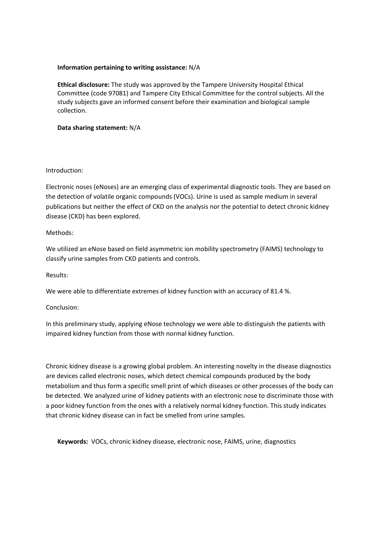# **Information pertaining to writing assistance:** N/A

**Ethical disclosure:** The study was approved by the Tampere University Hospital Ethical Committee (code 97081) and Tampere City Ethical Committee for the control subjects. All the study subjects gave an informed consent before their examination and biological sample collection.

## **Data sharing statement:** N/A

### Introduction:

Electronic noses (eNoses) are an emerging class of experimental diagnostic tools. They are based on the detection of volatile organic compounds (VOCs). Urine is used as sample medium in several publications but neither the effect of CKD on the analysis nor the potential to detect chronic kidney disease (CKD) has been explored.

# Methods:

We utilized an eNose based on field asymmetric ion mobility spectrometry (FAIMS) technology to classify urine samples from CKD patients and controls.

#### Results:

We were able to differentiate extremes of kidney function with an accuracy of 81.4 %.

#### Conclusion:

In this preliminary study, applying eNose technology we were able to distinguish the patients with impaired kidney function from those with normal kidney function.

Chronic kidney disease is a growing global problem. An interesting novelty in the disease diagnostics are devices called electronic noses, which detect chemical compounds produced by the body metabolism and thus form a specific smell print of which diseases or other processes of the body can be detected. We analyzed urine of kidney patients with an electronic nose to discriminate those with a poor kidney function from the ones with a relatively normal kidney function. This study indicates that chronic kidney disease can in fact be smelled from urine samples.

**Keywords:** VOCs, chronic kidney disease, electronic nose, FAIMS, urine, diagnostics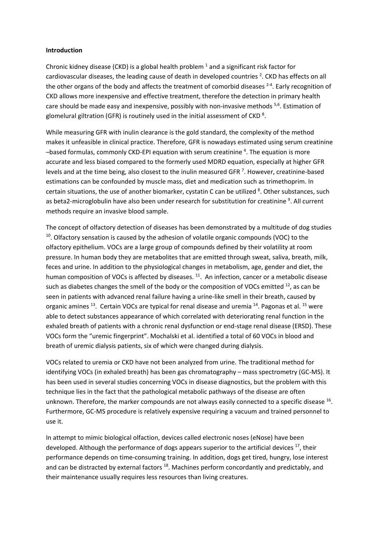#### **Introduction**

Chronic kidney disease (CKD) is a global health problem  $<sup>1</sup>$  and a significant risk factor for</sup> cardiovascular diseases, the leading cause of death in developed countries<sup>2</sup>. CKD has effects on all the other organs of the body and affects the treatment of comorbid diseases <sup>2-4</sup>. Early recognition of CKD allows more inexpensive and effective treatment, therefore the detection in primary health care should be made easy and inexpensive, possibly with non-invasive methods <sup>5,6</sup>. Estimation of glomelural giltration (GFR) is routinely used in the initial assessment of CKD  $^8$ .

While measuring GFR with inulin clearance is the gold standard, the complexity of the method makes it unfeasible in clinical practice. Therefore, GFR is nowadays estimated using serum creatinine -based formulas, commonly CKD-EPI equation with serum creatinine <sup>4</sup>. The equation is more accurate and less biased compared to the formerly used MDRD equation, especially at higher GFR levels and at the time being, also closest to the inulin measured GFR<sup>7</sup>. However, creatinine-based estimations can be confounded by muscle mass, diet and medication such as trimethoprim. In certain situations, the use of another biomarker, cystatin C can be utilized <sup>8</sup>. Other substances, such as beta2-microglobulin have also been under research for substitution for creatinine <sup>9</sup>. All current methods require an invasive blood sample.

The concept of olfactory detection of diseases has been demonstrated by a multitude of dog studies  $10$ . Olfactory sensation is caused by the adhesion of volatile organic compounds (VOC) to the olfactory epithelium. VOCs are a large group of compounds defined by their volatility at room pressure. In human body they are metabolites that are emitted through sweat, saliva, breath, milk, feces and urine. In addition to the physiological changes in metabolism, age, gender and diet, the human composition of VOCs is affected by diseases. <sup>11</sup>. An infection, cancer or a metabolic disease such as diabetes changes the smell of the body or the composition of VOCs emitted  $^{12}$ , as can be seen in patients with advanced renal failure having a urine-like smell in their breath, caused by organic amines <sup>13</sup>. Certain VOCs are typical for renal disease and uremia <sup>14</sup>. Pagonas et al. <sup>15</sup> were able to detect substances appearance of which correlated with deteriorating renal function in the exhaled breath of patients with a chronic renal dysfunction or end-stage renal disease (ERSD). These VOCs form the "uremic fingerprint". Mochalski et al. identified a total of 60 VOCs in blood and breath of uremic dialysis patients, six of which were changed during dialysis.

VOCs related to uremia or CKD have not been analyzed from urine. The traditional method for identifying VOCs (in exhaled breath) has been gas chromatography – mass spectrometry (GC-MS). It has been used in several studies concerning VOCs in disease diagnostics, but the problem with this technique lies in the fact that the pathological metabolic pathways of the disease are often unknown. Therefore, the marker compounds are not always easily connected to a specific disease 16. Furthermore, GC-MS procedure is relatively expensive requiring a vacuum and trained personnel to use it.

In attempt to mimic biological olfaction, devices called electronic noses (eNose) have been developed. Although the performance of dogs appears superior to the artificial devices  $^{17}$ , their performance depends on time-consuming training. In addition, dogs get tired, hungry, lose interest and can be distracted by external factors<sup>18</sup>. Machines perform concordantly and predictably, and their maintenance usually requires less resources than living creatures.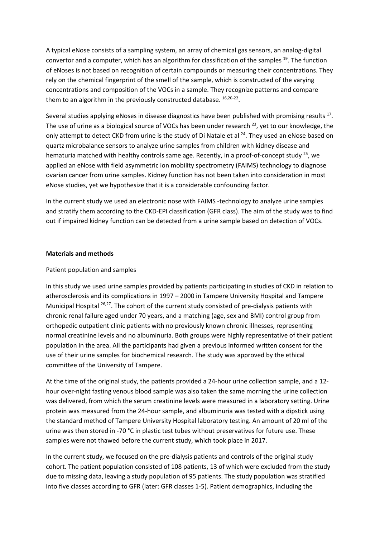A typical eNose consists of a sampling system, an array of chemical gas sensors, an analog-digital convertor and a computer, which has an algorithm for classification of the samples 19. The function of eNoses is not based on recognition of certain compounds or measuring their concentrations. They rely on the chemical fingerprint of the smell of the sample, which is constructed of the varying concentrations and composition of the VOCs in a sample. They recognize patterns and compare them to an algorithm in the previously constructed database.  $16,20-22$ .

Several studies applying eNoses in disease diagnostics have been published with promising results  $^{17}$ . The use of urine as a biological source of VOCs has been under research  $^{23}$ , yet to our knowledge, the only attempt to detect CKD from urine is the study of Di Natale et al <sup>24</sup>. They used an eNose based on quartz microbalance sensors to analyze urine samples from children with kidney disease and hematuria matched with healthy controls same age. Recently, in a proof-of-concept study  $^{25}$ , we applied an eNose with field asymmetric ion mobility spectrometry (FAIMS) technology to diagnose ovarian cancer from urine samples. Kidney function has not been taken into consideration in most eNose studies, yet we hypothesize that it is a considerable confounding factor.

In the current study we used an electronic nose with FAIMS -technology to analyze urine samples and stratify them according to the CKD-EPI classification (GFR class). The aim of the study was to find out if impaired kidney function can be detected from a urine sample based on detection of VOCs.

### **Materials and methods**

## Patient population and samples

In this study we used urine samples provided by patients participating in studies of CKD in relation to atherosclerosis and its complications in 1997 – 2000 in Tampere University Hospital and Tampere Municipal Hospital <sup>26,27</sup>. The cohort of the current study consisted of pre-dialysis patients with chronic renal failure aged under 70 years, and a matching (age, sex and BMI) control group from orthopedic outpatient clinic patients with no previously known chronic illnesses, representing normal creatinine levels and no albuminuria. Both groups were highly representative of their patient population in the area. All the participants had given a previous informed written consent for the use of their urine samples for biochemical research. The study was approved by the ethical committee of the University of Tampere.

At the time of the original study, the patients provided a 24-hour urine collection sample, and a 12 hour over-night fasting venous blood sample was also taken the same morning the urine collection was delivered, from which the serum creatinine levels were measured in a laboratory setting. Urine protein was measured from the 24-hour sample, and albuminuria was tested with a dipstick using the standard method of Tampere University Hospital laboratory testing. An amount of 20 ml of the urine was then stored in -70 °C in plastic test tubes without preservatives for future use. These samples were not thawed before the current study, which took place in 2017.

In the current study, we focused on the pre-dialysis patients and controls of the original study cohort. The patient population consisted of 108 patients, 13 of which were excluded from the study due to missing data, leaving a study population of 95 patients. The study population was stratified into five classes according to GFR (later: GFR classes 1-5). Patient demographics, including the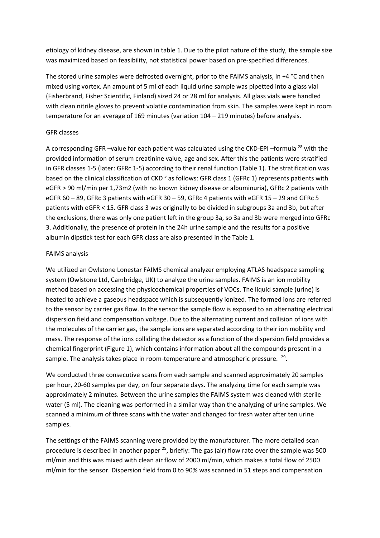etiology of kidney disease, are shown in table 1. Due to the pilot nature of the study, the sample size was maximized based on feasibility, not statistical power based on pre-specified differences.

The stored urine samples were defrosted overnight, prior to the FAIMS analysis, in +4 °C and then mixed using vortex. An amount of 5 ml of each liquid urine sample was pipetted into a glass vial (Fisherbrand, Fisher Scientific, Finland) sized 24 or 28 ml for analysis. All glass vials were handled with clean nitrile gloves to prevent volatile contamination from skin. The samples were kept in room temperature for an average of 169 minutes (variation 104 – 219 minutes) before analysis.

## GFR classes

A corresponding GFR-value for each patient was calculated using the CKD-EPI-formula<sup>28</sup> with the provided information of serum creatinine value, age and sex. After this the patients were stratified in GFR classes 1-5 (later: GFRc 1-5) according to their renal function (Table 1). The stratification was based on the clinical classification of CKD<sup>3</sup> as follows: GFR class 1 (GFRc 1) represents patients with eGFR > 90 ml/min per 1,73m2 (with no known kidney disease or albuminuria), GFRc 2 patients with eGFR 60 – 89, GFRc 3 patients with eGFR 30 – 59, GFRc 4 patients with eGFR 15 – 29 and GFRc 5 patients with eGFR < 15. GFR class 3 was originally to be divided in subgroups 3a and 3b, but after the exclusions, there was only one patient left in the group 3a, so 3a and 3b were merged into GFRc 3. Additionally, the presence of protein in the 24h urine sample and the results for a positive albumin dipstick test for each GFR class are also presented in the Table 1.

### FAIMS analysis

We utilized an Owlstone Lonestar FAIMS chemical analyzer employing ATLAS headspace sampling system (Owlstone Ltd, Cambridge, UK) to analyze the urine samples. FAIMS is an ion mobility method based on accessing the physicochemical properties of VOCs. The liquid sample (urine) is heated to achieve a gaseous headspace which is subsequently ionized. The formed ions are referred to the sensor by carrier gas flow. In the sensor the sample flow is exposed to an alternating electrical dispersion field and compensation voltage. Due to the alternating current and collision of ions with the molecules of the carrier gas, the sample ions are separated according to their ion mobility and mass. The response of the ions colliding the detector as a function of the dispersion field provides a chemical fingerprint (Figure 1), which contains information about all the compounds present in a sample. The analysis takes place in room-temperature and atmospheric pressure.  $^{29}$ .

We conducted three consecutive scans from each sample and scanned approximately 20 samples per hour, 20-60 samples per day, on four separate days. The analyzing time for each sample was approximately 2 minutes. Between the urine samples the FAIMS system was cleaned with sterile water (5 ml). The cleaning was performed in a similar way than the analyzing of urine samples. We scanned a minimum of three scans with the water and changed for fresh water after ten urine samples.

The settings of the FAIMS scanning were provided by the manufacturer. The more detailed scan procedure is described in another paper  $25$ , briefly: The gas (air) flow rate over the sample was 500 ml/min and this was mixed with clean air flow of 2000 ml/min, which makes a total flow of 2500 ml/min for the sensor. Dispersion field from 0 to 90% was scanned in 51 steps and compensation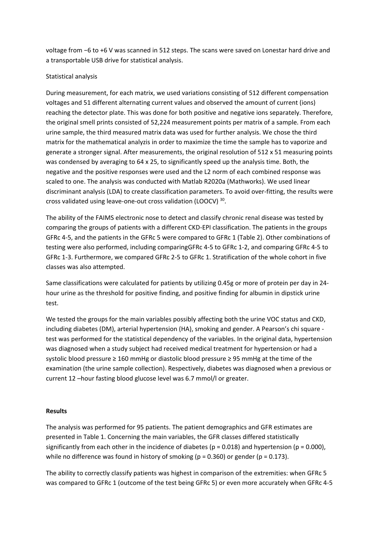voltage from −6 to +6 V was scanned in 512 steps. The scans were saved on Lonestar hard drive and a transportable USB drive for statistical analysis.

# Statistical analysis

During measurement, for each matrix, we used variations consisting of 512 different compensation voltages and 51 different alternating current values and observed the amount of current (ions) reaching the detector plate. This was done for both positive and negative ions separately. Therefore, the original smell prints consisted of 52,224 measurement points per matrix of a sample. From each urine sample, the third measured matrix data was used for further analysis. We chose the third matrix for the mathematical analyzis in order to maximize the time the sample has to vaporize and generate a stronger signal. After measurements, the original resolution of 512 x 51 measuring points was condensed by averaging to 64 x 25, to significantly speed up the analysis time. Both, the negative and the positive responses were used and the L2 norm of each combined response was scaled to one. The analysis was conducted with Matlab R2020a (Mathworks). We used linear discriminant analysis (LDA) to create classification parameters. To avoid over-fitting, the results were cross validated using leave-one-out cross validation (LOOCV) 30.

The ability of the FAIMS electronic nose to detect and classify chronic renal disease was tested by comparing the groups of patients with a different CKD-EPI classification. The patients in the groups GFRc 4-5, and the patients in the GFRc 5 were compared to GFRc 1 (Table 2). Other combinations of testing were also performed, including comparingGFRc 4-5 to GFRc 1-2, and comparing GFRc 4-5 to GFRc 1-3. Furthermore, we compared GFRc 2-5 to GFRc 1. Stratification of the whole cohort in five classes was also attempted.

Same classifications were calculated for patients by utilizing 0.45g or more of protein per day in 24 hour urine as the threshold for positive finding, and positive finding for albumin in dipstick urine test.

We tested the groups for the main variables possibly affecting both the urine VOC status and CKD, including diabetes (DM), arterial hypertension (HA), smoking and gender. A Pearson's chi square test was performed for the statistical dependency of the variables. In the original data, hypertension was diagnosed when a study subject had received medical treatment for hypertension or had a systolic blood pressure ≥ 160 mmHg or diastolic blood pressure ≥ 95 mmHg at the time of the examination (the urine sample collection). Respectively, diabetes was diagnosed when a previous or current 12 –hour fasting blood glucose level was 6.7 mmol/l or greater.

# **Results**

The analysis was performed for 95 patients. The patient demographics and GFR estimates are presented in Table 1. Concerning the main variables, the GFR classes differed statistically significantly from each other in the incidence of diabetes ( $p = 0.018$ ) and hypertension ( $p = 0.000$ ), while no difference was found in history of smoking ( $p = 0.360$ ) or gender ( $p = 0.173$ ).

The ability to correctly classify patients was highest in comparison of the extremities: when GFRc 5 was compared to GFRc 1 (outcome of the test being GFRc 5) or even more accurately when GFRc 4-5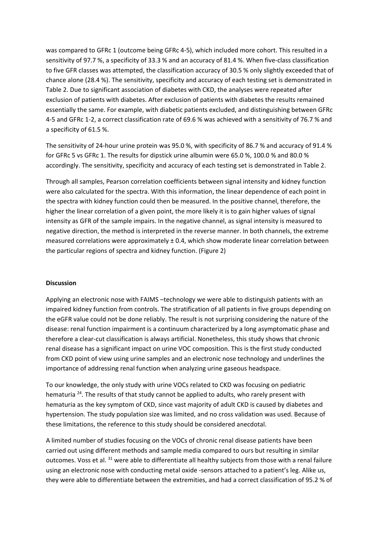was compared to GFRc 1 (outcome being GFRc 4-5), which included more cohort. This resulted in a sensitivity of 97.7 %, a specificity of 33.3 % and an accuracy of 81.4 %. When five-class classification to five GFR classes was attempted, the classification accuracy of 30.5 % only slightly exceeded that of chance alone (28.4 %). The sensitivity, specificity and accuracy of each testing set is demonstrated in Table 2. Due to significant association of diabetes with CKD, the analyses were repeated after exclusion of patients with diabetes. After exclusion of patients with diabetes the results remained essentially the same. For example, with diabetic patients excluded, and distinguishing between GFRc 4-5 and GFRc 1-2, a correct classification rate of 69.6 % was achieved with a sensitivity of 76.7 % and a specificity of 61.5 %.

The sensitivity of 24-hour urine protein was 95.0 %, with specificity of 86.7 % and accuracy of 91.4 % for GFRc 5 vs GFRc 1. The results for dipstick urine albumin were 65.0 %, 100.0 % and 80.0 % accordingly. The sensitivity, specificity and accuracy of each testing set is demonstrated in Table 2.

Through all samples, Pearson correlation coefficients between signal intensity and kidney function were also calculated for the spectra. With this information, the linear dependence of each point in the spectra with kidney function could then be measured. In the positive channel, therefore, the higher the linear correlation of a given point, the more likely it is to gain higher values of signal intensity as GFR of the sample impairs. In the negative channel, as signal intensity is measured to negative direction, the method is interpreted in the reverse manner. In both channels, the extreme measured correlations were approximately ± 0.4, which show moderate linear correlation between the particular regions of spectra and kidney function. (Figure 2)

#### **Discussion**

Applying an electronic nose with FAIMS –technology we were able to distinguish patients with an impaired kidney function from controls. The stratification of all patients in five groups depending on the eGFR value could not be done reliably. The result is not surprising considering the nature of the disease: renal function impairment is a continuum characterized by a long asymptomatic phase and therefore a clear-cut classification is always artificial. Nonetheless, this study shows that chronic renal disease has a significant impact on urine VOC composition. This is the first study conducted from CKD point of view using urine samples and an electronic nose technology and underlines the importance of addressing renal function when analyzing urine gaseous headspace.

To our knowledge, the only study with urine VOCs related to CKD was focusing on pediatric hematuria <sup>24</sup>. The results of that study cannot be applied to adults, who rarely present with hematuria as the key symptom of CKD, since vast majority of adult CKD is caused by diabetes and hypertension. The study population size was limited, and no cross validation was used. Because of these limitations, the reference to this study should be considered anecdotal.

A limited number of studies focusing on the VOCs of chronic renal disease patients have been carried out using different methods and sample media compared to ours but resulting in similar outcomes. Voss et al. <sup>31</sup> were able to differentiate all healthy subjects from those with a renal failure using an electronic nose with conducting metal oxide -sensors attached to a patient's leg. Alike us, they were able to differentiate between the extremities, and had a correct classification of 95.2 % of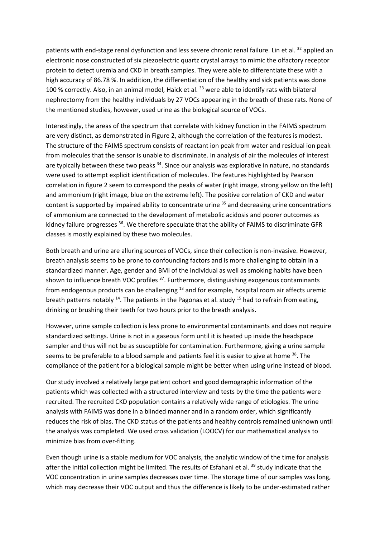patients with end-stage renal dysfunction and less severe chronic renal failure. Lin et al. 32 applied an electronic nose constructed of six piezoelectric quartz crystal arrays to mimic the olfactory receptor protein to detect uremia and CKD in breath samples. They were able to differentiate these with a high accuracy of 86.78 %. In addition, the differentiation of the healthy and sick patients was done 100 % correctly. Also, in an animal model, Haick et al. <sup>33</sup> were able to identify rats with bilateral nephrectomy from the healthy individuals by 27 VOCs appearing in the breath of these rats. None of the mentioned studies, however, used urine as the biological source of VOCs.

Interestingly, the areas of the spectrum that correlate with kidney function in the FAIMS spectrum are very distinct, as demonstrated in Figure 2, although the correlation of the features is modest. The structure of the FAIMS spectrum consists of reactant ion peak from water and residual ion peak from molecules that the sensor is unable to discriminate. In analysis of air the molecules of interest are typically between these two peaks  $34$ . Since our analysis was explorative in nature, no standards were used to attempt explicit identification of molecules. The features highlighted by Pearson correlation in figure 2 seem to correspond the peaks of water (right image, strong yellow on the left) and ammonium (right image, blue on the extreme left). The positive correlation of CKD and water content is supported by impaired ability to concentrate urine  $35$  and decreasing urine concentrations of ammonium are connected to the development of metabolic acidosis and poorer outcomes as kidney failure progresses <sup>36</sup>. We therefore speculate that the ability of FAIMS to discriminate GFR classes is mostly explained by these two molecules.

Both breath and urine are alluring sources of VOCs, since their collection is non-invasive. However, breath analysis seems to be prone to confounding factors and is more challenging to obtain in a standardized manner. Age, gender and BMI of the individual as well as smoking habits have been shown to influence breath VOC profiles  $37$ . Furthermore, distinguishing exogenous contaminants from endogenous products can be challenging 13 and for example, hospital room air affects uremic breath patterns notably  $^{14}$ . The patients in the Pagonas et al. study  $^{15}$  had to refrain from eating, drinking or brushing their teeth for two hours prior to the breath analysis.

However, urine sample collection is less prone to environmental contaminants and does not require standardized settings. Urine is not in a gaseous form until it is heated up inside the headspace sampler and thus will not be as susceptible for contamination. Furthermore, giving a urine sample seems to be preferable to a blood sample and patients feel it is easier to give at home  $38$ . The compliance of the patient for a biological sample might be better when using urine instead of blood.

Our study involved a relatively large patient cohort and good demographic information of the patients which was collected with a structured interview and tests by the time the patients were recruited. The recruited CKD population contains a relatively wide range of etiologies. The urine analysis with FAIMS was done in a blinded manner and in a random order, which significantly reduces the risk of bias. The CKD status of the patients and healthy controls remained unknown until the analysis was completed. We used cross validation (LOOCV) for our mathematical analysis to minimize bias from over-fitting.

Even though urine is a stable medium for VOC analysis, the analytic window of the time for analysis after the initial collection might be limited. The results of Esfahani et al. <sup>39</sup> study indicate that the VOC concentration in urine samples decreases over time. The storage time of our samples was long, which may decrease their VOC output and thus the difference is likely to be under-estimated rather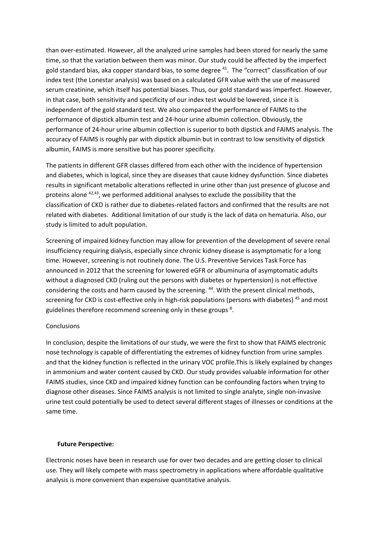than over-estimated. However, all the analyzed urine samples had been stored for nearly the same time, so that the variation between them was minor. Our study could be affected by the imperfect gold standard bias, aka copper standard bias, to some degree  $41$ . The "correct" classification of our index test (the Lonestar analysis) was based on a calculated GFR value with the use of measured serum creatinine, which itself has potential biases. Thus, our gold standard was imperfect. However, in that case, both sensitivity and specificity of our index test would be lowered, since it is independent of the gold standard test. We also compared the performance of FAIMS to the performance of dipstick albumin test and 24-hour urine albumin collection. Obviously, the performance of 24-hour urine albumin collection is superior to both dipstick and FAIMS analysis. The accuracy of FAIMS is roughly par with dipstick albumin but in contrast to low sensitivity of dipstick albumin, FAIMS is more sensitive but has poorer specificity.

The patients in different GFR classes differed from each other with the incidence of hypertension and diabetes, which is logical, since they are diseases that cause kidney dysfunction. Since diabetes results in significant metabolic alterations reflected in urine other than just presence of glucose and proteins alone 42,43, we performed additional analyses to exclude the possibility that the classification of CKD is rather due to diabetes-related factors and confirmed that the results are not related with diabetes. Additional limitation of our study is the lack of data on hematuria. Also, our study is limited to adult population.

Screening of impaired kidney function may allow for prevention of the development of severe renal insufficiency requiring dialysis, especially since chronic kidney disease is asymptomatic for a long time. However, screening is not routinely done. The U.S. Preventive Services Task Force has announced in 2012 that the screening for lowered eGFR or albuminuria of asymptomatic adults without a diagnosed CKD (ruling out the persons with diabetes or hypertension) is not effective considering the costs and harm caused by the screening. <sup>44</sup>. With the present clinical methods, screening for CKD is cost-effective only in high-risk populations (persons with diabetes)<sup>45</sup> and most guidelines therefore recommend screening only in these groups<sup>8</sup>.

# Conclusions

In conclusion, despite the limitations of our study, we were the first to show that FAIMS electronic nose technology is capable of differentiating the extremes of kidney function from urine samples and that the kidney function is reflected in the urinary VOC profile.This is likely explained by changes in ammonium and water content caused by CKD. Our study provides valuable information for other FAIMS studies, since CKD and impaired kidney function can be confounding factors when trying to diagnose other diseases. Since FAIMS analysis is not limited to single analyte, single non-invasive urine test could potentially be used to detect several different stages of illnesses or conditions at the same time.

#### **Future Perspective:**

Electronic noses have been in research use for over two decades and are getting closer to clinical use. They will likely compete with mass spectrometry in applications where affordable qualitative analysis is more convenient than expensive quantitative analysis.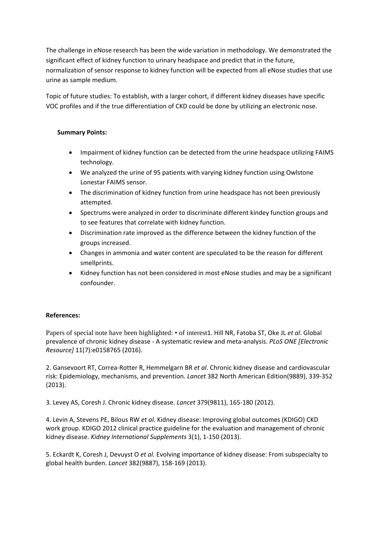The challenge in eNose research has been the wide variation in methodology. We demonstrated the significant effect of kidney function to urinary headspace and predict that in the future, normalization of sensor response to kidney function will be expected from all eNose studies that use urine as sample medium.

Topic of future studies: To establish, with a larger cohort, if different kidney diseases have specific VOC profiles and if the true differentiation of CKD could be done by utilizing an electronic nose.

# **Summary Points:**

- Impairment of kidney function can be detected from the urine headspace utilizing FAIMS technology.
- We analyzed the urine of 95 patients with varying kidney function using Owlstone Lonestar FAIMS sensor.
- The discrimination of kidney function from urine headspace has not been previously attempted.
- Spectrums were analyzed in order to discriminate different kindey function groups and to see features that correlate with kidney function.
- Discrimination rate improved as the difference between the kidney function of the groups increased.
- Changes in ammonia and water content are speculated to be the reason for different smellprints.
- Kidney function has not been considered in most eNose studies and may be a significant confounder.

# **References:**

Papers of special note have been highlighted: • of interest1. Hill NR, Fatoba ST, Oke JL *et al*. Global prevalence of chronic kidney disease - A systematic review and meta-analysis. *PLoS ONE [Electronic Resource]* 11(7):e0158765 (2016).

2. Gansevoort RT, Correa-Rotter R, Hemmelgarn BR *et al*. Chronic kidney disease and cardiovascular risk: Epidemiology, mechanisms, and prevention. *Lancet* 382 North American Edition(9889), 339-352 (2013).

3. Levey AS, Coresh J. Chronic kidney disease. *Lancet* 379(9811), 165-180 (2012).

4. Levin A, Stevens PE, Bilous RW *et al.* Kidney disease: Improving global outcomes (KDIGO) CKD work group. KDIGO 2012 clinical practice guideline for the evaluation and management of chronic kidney disease. *Kidney International Supplements* 3(1), 1-150 (2013).

5. Eckardt K, Coresh J, Devuyst O *et al.* Evolving importance of kidney disease: From subspecialty to global health burden. *Lancet* 382(9887), 158-169 (2013).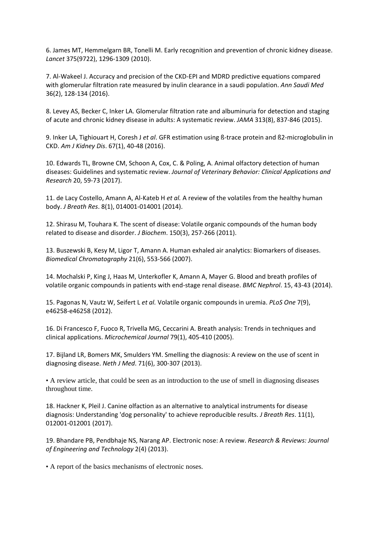6. James MT, Hemmelgarn BR, Tonelli M. Early recognition and prevention of chronic kidney disease. *Lancet* 375(9722), 1296-1309 (2010).

7. Al-Wakeel J. Accuracy and precision of the CKD-EPI and MDRD predictive equations compared with glomerular filtration rate measured by inulin clearance in a saudi population. *Ann Saudi Med* 36(2), 128-134 (2016).

8. Levey AS, Becker C, Inker LA. Glomerular filtration rate and albuminuria for detection and staging of acute and chronic kidney disease in adults: A systematic review. *JAMA* 313(8), 837-846 (2015).

9. Inker LA, Tighiouart H, Coresh J *et al*. GFR estimation using ß-trace protein and ß2-microglobulin in CKD. *Am J Kidney Dis*. 67(1), 40-48 (2016).

10. Edwards TL, Browne CM, Schoon A, Cox, C. & Poling, A. Animal olfactory detection of human diseases: Guidelines and systematic review. *Journal of Veterinary Behavior: Clinical Applications and Research* 20, 59-73 (2017).

11. de Lacy Costello, Amann A, Al-Kateb H *et al.* A review of the volatiles from the healthy human body. *J Breath Res*. 8(1), 014001-014001 (2014).

12. Shirasu M, Touhara K. The scent of disease: Volatile organic compounds of the human body related to disease and disorder. *J Biochem*. 150(3), 257-266 (2011).

13. Buszewski B, Kesy M, Ligor T, Amann A. Human exhaled air analytics: Biomarkers of diseases. *Biomedical Chromatography* 21(6), 553-566 (2007).

14. Mochalski P, King J, Haas M, Unterkofler K, Amann A, Mayer G. Blood and breath profiles of volatile organic compounds in patients with end-stage renal disease. *BMC Nephrol*. 15, 43-43 (2014).

15. Pagonas N, Vautz W, Seifert L *et al.* Volatile organic compounds in uremia. *PLoS One* 7(9), e46258-e46258 (2012).

16. Di Francesco F, Fuoco R, Trivella MG, Ceccarini A. Breath analysis: Trends in techniques and clinical applications. *Microchemical Journal* 79(1), 405-410 (2005).

17. Bijland LR, Bomers MK, Smulders YM. Smelling the diagnosis: A review on the use of scent in diagnosing disease. *Neth J Med*. 71(6), 300-307 (2013).

• A review article, that could be seen as an introduction to the use of smell in diagnosing diseases throughout time.

18. Hackner K, Pleil J. Canine olfaction as an alternative to analytical instruments for disease diagnosis: Understanding 'dog personality' to achieve reproducible results. *J Breath Res*. 11(1), 012001-012001 (2017).

19. Bhandare PB, Pendbhaje NS, Narang AP. Electronic nose: A review. *Research & Reviews: Journal of Engineering and Technology* 2(4) (2013).

• A report of the basics mechanisms of electronic noses.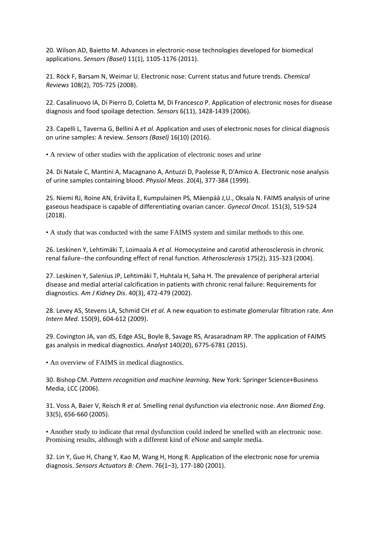20. Wilson AD, Baietto M. Advances in electronic-nose technologies developed for biomedical applications. *Sensors (Basel)* 11(1), 1105-1176 (2011).

21. Röck F, Barsam N, Weimar U. Electronic nose: Current status and future trends. *Chemical Reviews* 108(2), 705-725 (2008).

22. Casalinuovo IA, Di Pierro D, Coletta M, Di Francesco P. Application of electronic noses for disease diagnosis and food spoilage detection. *Sensors* 6(11), 1428-1439 (2006).

23. Capelli L, Taverna G, Bellini A *et al.* Application and uses of electronic noses for clinical diagnosis on urine samples: A review. *Sensors (Basel)* 16(10) (2016).

• A review of other studies with the application of electronic noses and urine

24. Di Natale C, Mantini A, Macagnano A, Antuzzi D, Paolesse R, D'Amico A. Electronic nose analysis of urine samples containing blood. *Physiol Meas*. 20(4), 377-384 (1999).

25. Niemi RJ, Roine AN, Eräviita E, Kumpulainen PS, Mäenpää J,U., Oksala N. FAIMS analysis of urine gaseous headspace is capable of differentiating ovarian cancer. *Gynecol Oncol*. 151(3), 519-524 (2018).

• A study that was conducted with the same FAIMS system and similar methods to this one.

26. Leskinen Y, Lehtimäki T, Loimaala A *et al.* Homocysteine and carotid atherosclerosis in chronic renal failure--the confounding effect of renal function. *Atherosclerosis* 175(2), 315-323 (2004).

27. Leskinen Y, Salenius JP, Lehtimäki T, Huhtala H, Saha H. The prevalence of peripheral arterial disease and medial arterial calcification in patients with chronic renal failure: Requirements for diagnostics. *Am J Kidney Dis*. 40(3), 472-479 (2002).

28. Levey AS, Stevens LA, Schmid CH *et al.* A new equation to estimate glomerular filtration rate. *Ann Intern Med*. 150(9), 604-612 (2009).

29. Covington JA, van dS, Edge ASL, Boyle B, Savage RS, Arasaradnam RP. The application of FAIMS gas analysis in medical diagnostics. *Analyst* 140(20), 6775-6781 (2015).

• An overview of FAIMS in medical diagnostics.

30. Bishop CM. *Pattern recognition and machine learning.* New York: Springer Science+Business Media, LCC (2006).

31. Voss A, Baier V, Reisch R *et al.* Smelling renal dysfunction via electronic nose. *Ann Biomed Eng*. 33(5), 656-660 (2005).

• Another study to indicate that renal dysfunction could indeed be smelled with an electronic nose. Promising results, although with a different kind of eNose and sample media.

32. Lin Y, Guo H, Chang Y, Kao M, Wang H, Hong R. Application of the electronic nose for uremia diagnosis. *Sensors Actuators B: Chem*. 76(1–3), 177-180 (2001).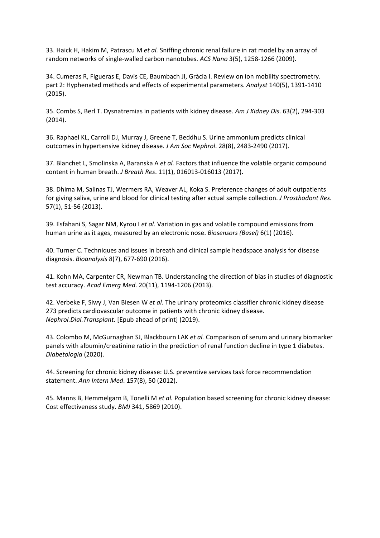33. Haick H, Hakim M, Patrascu M *et al.* Sniffing chronic renal failure in rat model by an array of random networks of single-walled carbon nanotubes. *ACS Nano* 3(5), 1258-1266 (2009).

34. Cumeras R, Figueras E, Davis CE, Baumbach JI, Gràcia I. Review on ion mobility spectrometry. part 2: Hyphenated methods and effects of experimental parameters. *Analyst* 140(5), 1391-1410 (2015).

35. Combs S, Berl T. Dysnatremias in patients with kidney disease. *Am J Kidney Dis*. 63(2), 294-303 (2014).

36. Raphael KL, Carroll DJ, Murray J, Greene T, Beddhu S. Urine ammonium predicts clinical outcomes in hypertensive kidney disease. *J Am Soc Nephrol*. 28(8), 2483-2490 (2017).

37. Blanchet L, Smolinska A, Baranska A *et al.* Factors that influence the volatile organic compound content in human breath. *J Breath Res*. 11(1), 016013-016013 (2017).

38. Dhima M, Salinas TJ, Wermers RA, Weaver AL, Koka S. Preference changes of adult outpatients for giving saliva, urine and blood for clinical testing after actual sample collection. *J Prosthodont Res*. 57(1), 51-56 (2013).

39. Esfahani S, Sagar NM, Kyrou I *et al.* Variation in gas and volatile compound emissions from human urine as it ages, measured by an electronic nose. *Biosensors (Basel)* 6(1) (2016).

40. Turner C. Techniques and issues in breath and clinical sample headspace analysis for disease diagnosis. *Bioanalysis* 8(7), 677-690 (2016).

41. Kohn MA, Carpenter CR, Newman TB. Understanding the direction of bias in studies of diagnostic test accuracy. *Acad Emerg Med*. 20(11), 1194-1206 (2013).

42. Verbeke F, Siwy J, Van Biesen W *et al.* The urinary proteomics classifier chronic kidney disease 273 predicts cardiovascular outcome in patients with chronic kidney disease. *Nephrol.Dial.Transplant.* [Epub ahead of print] (2019).

43. Colombo M, McGurnaghan SJ, Blackbourn LAK *et al.* Comparison of serum and urinary biomarker panels with albumin/creatinine ratio in the prediction of renal function decline in type 1 diabetes. *Diabetologia* (2020).

44. Screening for chronic kidney disease: U.S. preventive services task force recommendation statement. *Ann Intern Med*. 157(8), 50 (2012).

45. Manns B, Hemmelgarn B, Tonelli M *et al.* Population based screening for chronic kidney disease: Cost effectiveness study. *BMJ* 341, 5869 (2010).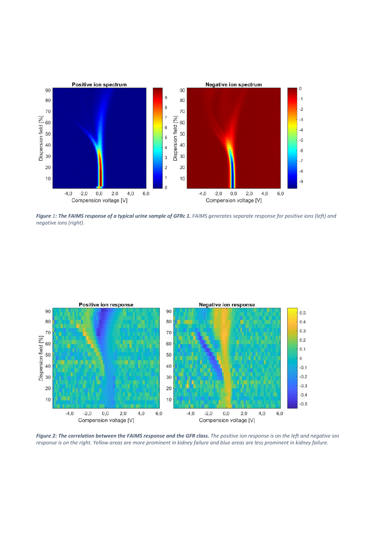

*Figure 1: The FAIMS response of a typical urine sample of GFRc 1. FAIMS generates separate response for positive ions (left) and negative ions (right).* 



*Figure 2: The correlation between the FAIMS response and the GFR class. The positive ion response is on the left and negative ion response is on the right. Yellow areas are more prominent in kidney failure and blue areas are less prominent in kidney failure.*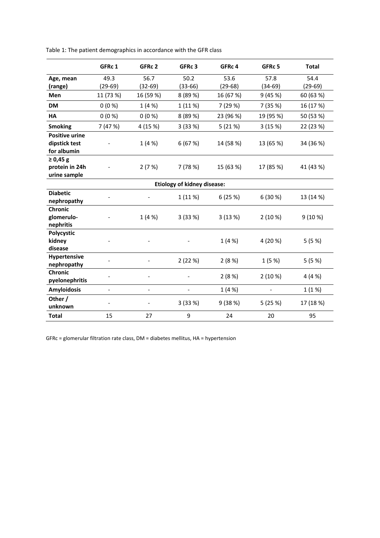|                                                       | GFRc 1                   | GFRc 2                   | GFRc 3                   | GFRc 4    | GFRc 5                   | <b>Total</b> |  |  |  |
|-------------------------------------------------------|--------------------------|--------------------------|--------------------------|-----------|--------------------------|--------------|--|--|--|
| Age, mean                                             | 49.3                     | 56.7                     | 50.2                     | 53.6      | 57.8                     | 54.4         |  |  |  |
| (range)                                               | $(29-69)$                | $(32-69)$                | $(33-66)$                | $(29-68)$ | $(34-69)$                | $(29-69)$    |  |  |  |
| <b>Men</b>                                            | 11 (73 %)                | 16 (59 %)                | 8 (89 %)                 | 16 (67 %) | 9(45%)                   | 60 (63 %)    |  |  |  |
| <b>DM</b>                                             | $0(0\%)$                 | 1(4%                     | 1 (11 %)                 | 7 (29 %)  | 7 (35 %)                 | 16 (17 %)    |  |  |  |
| <b>HA</b>                                             | $0(0\%)$                 | $0(0\%)$                 | 8(89%)                   | 23 (96 %) | 19 (95 %)                | 50 (53 %)    |  |  |  |
| <b>Smoking</b>                                        | 7 (47 %)                 | 4 (15 %)                 | 3(33%)                   | 5(21%)    | 3(15%)                   | 22 (23 %)    |  |  |  |
| <b>Positive urine</b><br>dipstick test<br>for albumin |                          | 1(4%)                    | 6(67%)                   | 14 (58 %) | 13 (65 %)                | 34 (36 %)    |  |  |  |
| ≥ 0,45 g<br>protein in 24h<br>urine sample            |                          | 2(7%)                    | 7(78%)                   | 15 (63 %) | 17 (85 %)                | 41 (43 %)    |  |  |  |
| <b>Etiology of kidney disease:</b>                    |                          |                          |                          |           |                          |              |  |  |  |
| <b>Diabetic</b><br>nephropathy                        | $\overline{a}$           |                          | 1 (11 %)                 | 6(25%)    | 6 (30 %)                 | 13 (14 %)    |  |  |  |
| <b>Chronic</b><br>glomerulo-<br>nephritis             |                          | 1(4%                     | 3(33%)                   | 3(13%)    | 2(10%)                   | 9(10%)       |  |  |  |
| Polycystic<br>kidney<br>disease                       |                          |                          |                          | 1(4%      | 4 (20 %)                 | 5(5%)        |  |  |  |
| <b>Hypertensive</b><br>nephropathy                    |                          |                          | 2(22%)                   | 2(8%)     | 1(5%)                    | 5(5%)        |  |  |  |
| <b>Chronic</b><br>pyelonephritis                      |                          |                          |                          | 2(8%)     | 2(10%)                   | 4(4%         |  |  |  |
| <b>Amyloidosis</b>                                    | $\overline{\phantom{0}}$ | $\overline{\phantom{0}}$ | $\overline{\phantom{a}}$ | 1 (4 %)   | $\overline{\phantom{a}}$ | 1 (1 %)      |  |  |  |
| Other /<br>unknown                                    | $\overline{a}$           |                          | 3(33%)                   | 9(38%)    | 5 (25 %)                 | 17 (18 %)    |  |  |  |
| <b>Total</b>                                          | 15                       | 27                       | 9                        | 24        | 20                       | 95           |  |  |  |

Table 1: The patient demographics in accordance with the GFR class

GFRc = glomerular filtration rate class, DM = diabetes mellitus, HA = hypertension